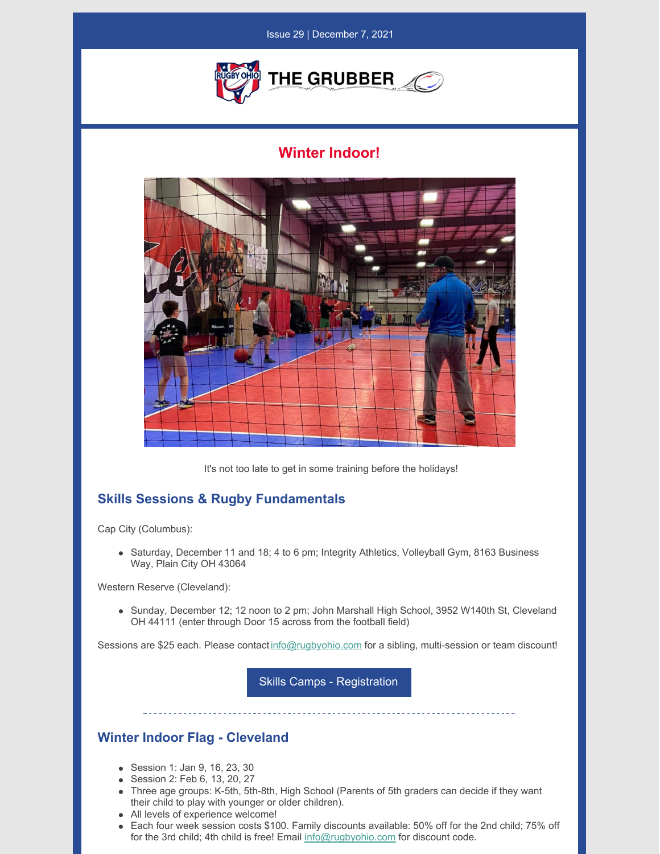

## **Winter Indoor!**



It's not too late to get in some training before the holidays!

## **Skills Sessions & Rugby Fundamentals**

Cap City (Columbus):

Saturday, December 11 and 18; 4 to 6 pm; Integrity Athletics, Volleyball Gym, 8163 Business Way, Plain City OH 43064

Western Reserve (Cleveland):

• Sunday, December 12; 12 noon to 2 pm; John Marshall High School, 3952 W140th St, Cleveland OH 44111 (enter through Door 15 across from the football field)

Sessions are \$25 each. Please contact [info@rugbyohio.com](mailto:info@rugbyohio.com) for a sibling, multi-session or team discount!

Skills Camps - [Registration](https://sportsmanager.ie/sportlomo/registration/event-registration/index/6447)

## **Winter Indoor Flag - Cleveland**

- Session 1: Jan 9, 16, 23, 30
- Session 2: Feb 6, 13, 20, 27
- Three age groups: K-5th, 5th-8th, High School (Parents of 5th graders can decide if they want their child to play with younger or older children).
- All levels of experience welcome!
- Each four week session costs \$100. Family discounts available: 50% off for the 2nd child; 75% off for the 3rd child; 4th child is free! Email [info@rugbyohio.com](mailto:info@rugbyohio.com) for discount code.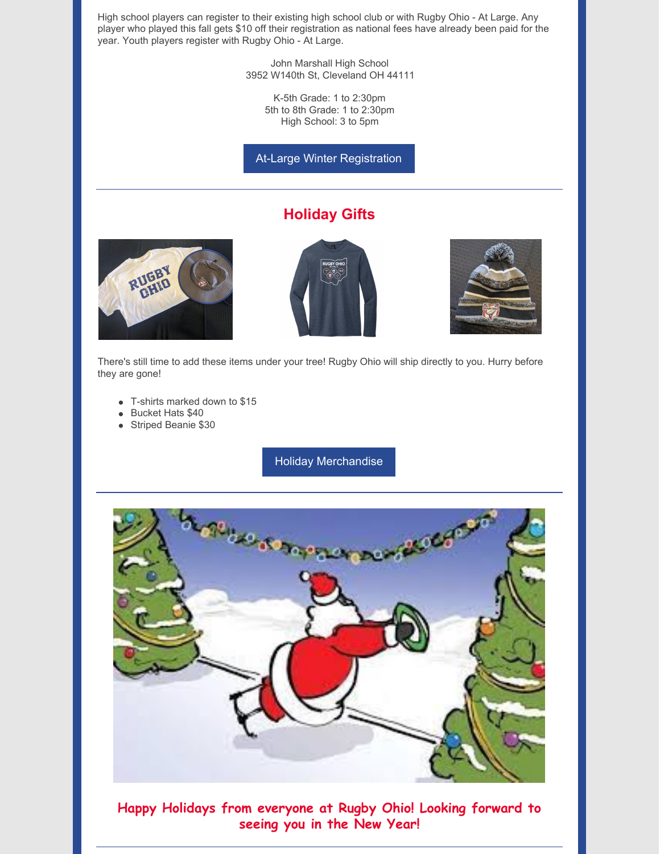High school players can register to their existing high school club or with Rugby Ohio - At Large. Any player who played this fall gets \$10 off their registration as national fees have already been paid for the year. Youth players register with Rugby Ohio - At Large.

> John Marshall High School 3952 W140th St, Cleveland OH 44111

> > K-5th Grade: 1 to 2:30pm 5th to 8th Grade: 1 to 2:30pm High School: 3 to 5pm

At-Large Winter [Registration](https://reg.sportlomo.com/club/usarugby/usayouthandhs/rugbyohio/atlargeohioyouthhs)

## **Holiday Gifts**







There's still time to add these items under your tree! Rugby Ohio will ship directly to you. Hurry before they are gone!

- T-shirts marked down to \$15
- Bucket Hats \$40
- Striped Beanie \$30

Holiday [Merchandise](https://sportsmanager.ie/sportlomo/registration/event-registration/index/6447)



**Happy Holidays from everyone at Rugby Ohio! Looking forward to seeing you in the New Year!**